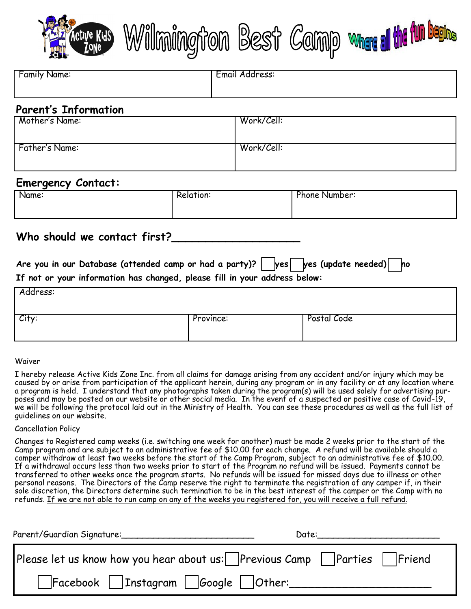

|  |  | LE CONSIDERATION DESIL CONNO MUSIC COMPRESSION CONSIDERATION |  |  |  |  |
|--|--|--------------------------------------------------------------|--|--|--|--|
|--|--|--------------------------------------------------------------|--|--|--|--|

**Mark Alm** 

| <b>Family Name:</b> | Email Address: |
|---------------------|----------------|
|                     |                |
|                     |                |

## **Parent's Information**

| Mother's Name: | Work/Cell: |
|----------------|------------|
| Father's Name: | Work/Cell: |

### **Emergency Contact:**

| Name: | elation: | -<br>Phone Number: |
|-------|----------|--------------------|
|       |          |                    |
|       |          |                    |

## **Who should we contact first?\_\_\_\_\_\_\_\_\_\_\_\_\_\_\_\_\_\_\_**

**Are you in our Database (attended camp or had a party)?** ❑**yes** ❑**yes (update needed)** ❑**no If not or your information has changed, please fill in your address below:**

| Address: | _         |             |
|----------|-----------|-------------|
| City:    | Province: | Postal Code |

#### Waiver

I hereby release Active Kids Zone Inc. from all claims for damage arising from any accident and/or injury which may be caused by or arise from participation of the applicant herein, during any program or in any facility or at any location where a program is held. I understand that any photographs taken during the program(s) will be used solely for advertising purposes and may be posted on our website or other social media. In the event of a suspected or positive case of Covid-19, we will be following the protocol laid out in the Ministry of Health. You can see these procedures as well as the full list of guidelines on our website.

#### Cancellation Policy

Changes to Registered camp weeks (i.e. switching one week for another) must be made 2 weeks prior to the start of the Camp program and are subject to an administrative fee of \$10.00 for each change. A refund will be available should a camper withdraw at least two weeks before the start of the Camp Program, subject to an administrative fee of \$10.00. If a withdrawal occurs less than two weeks prior to start of the Program no refund will be issued. Payments cannot be transferred to other weeks once the program starts. No refunds will be issued for missed days due to illness or other personal reasons. The Directors of the Camp reserve the right to terminate the registration of any camper if, in their sole discretion, the Directors determine such termination to be in the best interest of the camper or the Camp with no refunds. If we are not able to run camp on any of the weeks you registered for, you will receive a full refund.

| Parent/Guardian Signature:                                             | Date: |
|------------------------------------------------------------------------|-------|
| Please let us know how you hear about us: Previous Camp Parties Friend |       |
| $\Box$ Facebook $\Box$ Instagram $\Box$ Google $\Box$ Other: $\Box$    |       |